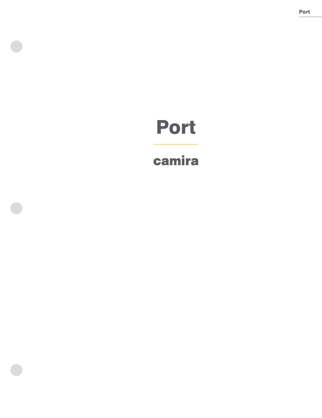# Port

# camira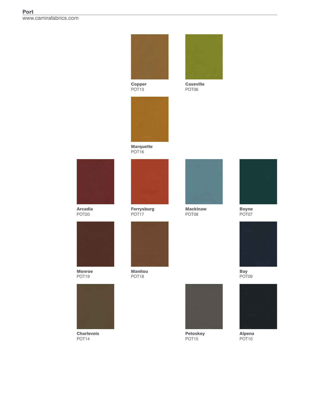

Boyne POT07



Bay POT09



Alpena POT10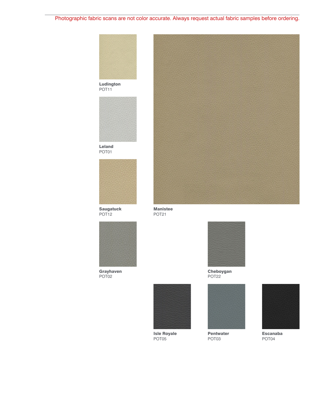Photographic fabric scans are not color accurate. Always request actual fabric samples before ordering.



POT11



Leland POT01



Saugatuck POT12



Grayhaven POT02



Manistee POT21



Cheboygan POT22



Isle Royale POT05



Pentwater POT03



Escanaba POT04